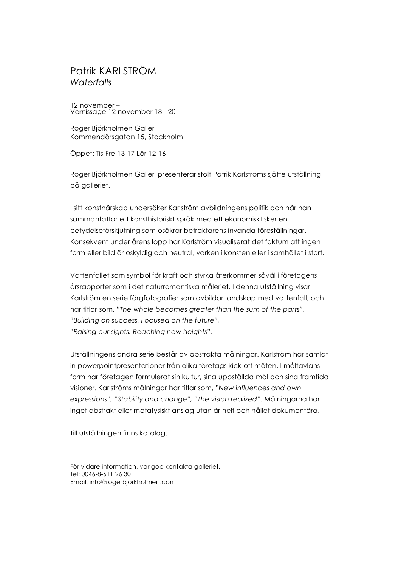## Patrik KARLSTRÖM *Waterfalls*

12 november – Vernissage 12 november 18 - 20

Roger Björkholmen Galleri Kommendörsgatan 15, Stockholm

Öppet: Tis-Fre 13-17 Lör 12-16

Roger Björkholmen Galleri presenterar stolt Patrik Karlströms sjätte utställning på galleriet.

I sitt konstnärskap undersöker Karlström avbildningens politik och när han sammanfattar ett konsthistoriskt språk med ett ekonomiskt sker en betydelseförskjutning som osäkrar betraktarens invanda föreställningar. Konsekvent under årens lopp har Karlström visualiserat det faktum att ingen form eller bild är oskyldig och neutral, varken i konsten eller i samhället i stort.

Vattenfallet som symbol för kraft och styrka återkommer såväl i företagens årsrapporter som i det naturromantiska måleriet. I denna utställning visar Karlström en serie färgfotografier som avbildar landskap med vattenfall, och har titlar som, *"The whole becomes greater than the sum of the parts", "Building on success. Focused on the future", "Raising our sights. Reaching new heights".* 

Utställningens andra serie består av abstrakta målningar. Karlström har samlat in powerpointpresentationer från olika företags kick-off möten. I måltavlans form har företagen formulerat sin kultur, sina uppställda mål och sina framtida visioner. Karlströms målningar har titlar som, "*New influences and own expressions", "Stability and change", "The vision realized".* Målningarna har inget abstrakt eller metafysiskt anslag utan är helt och hållet dokumentära.

Till utställningen finns katalog.

För vidare information, var god kontakta galleriet. Tel: 0046-8-611 26 30 Email: info@rogerbjorkholmen.com